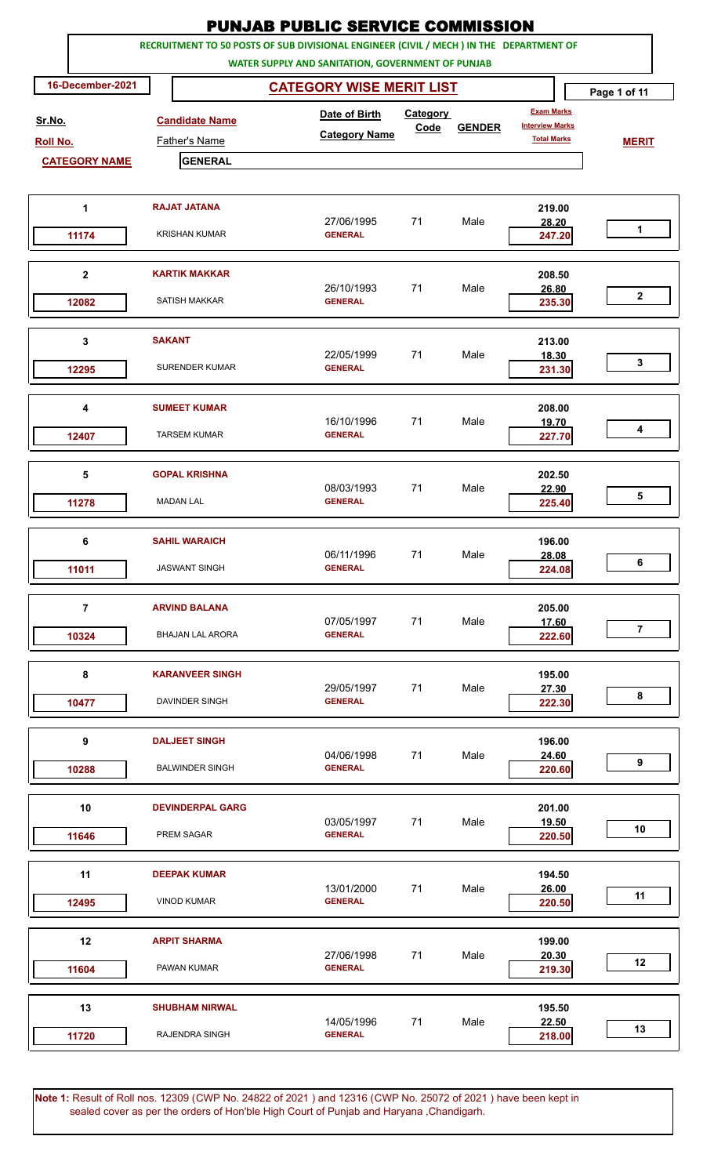|                                         |                                        | <b>PUNJAB PUBLIC SERVICE COMMISSION</b>                                                                                                      |                         |               |                                             |                |
|-----------------------------------------|----------------------------------------|----------------------------------------------------------------------------------------------------------------------------------------------|-------------------------|---------------|---------------------------------------------|----------------|
|                                         |                                        | RECRUITMENT TO 50 POSTS OF SUB DIVISIONAL ENGINEER (CIVIL / MECH ) IN THE DEPARTMENT OF<br>WATER SUPPLY AND SANITATION, GOVERNMENT OF PUNJAB |                         |               |                                             |                |
| 16-December-2021                        |                                        | <b>CATEGORY WISE MERIT LIST</b>                                                                                                              |                         |               |                                             | Page 1 of 11   |
| Sr.No.                                  | <b>Candidate Name</b>                  | Date of Birth<br><b>Category Name</b>                                                                                                        | <b>Category</b><br>Code | <b>GENDER</b> | <b>Exam Marks</b><br><b>Interview Marks</b> |                |
| <b>Roll No.</b><br><b>CATEGORY NAME</b> | <b>Father's Name</b><br><b>GENERAL</b> |                                                                                                                                              |                         |               | <b>Total Marks</b>                          | <b>MERIT</b>   |
|                                         |                                        |                                                                                                                                              |                         |               |                                             |                |
| 1                                       | <b>RAJAT JATANA</b>                    |                                                                                                                                              |                         | Male          | 219.00                                      |                |
| 11174                                   | <b>KRISHAN KUMAR</b>                   | 27/06/1995<br><b>GENERAL</b>                                                                                                                 | 71                      |               | 28.20<br>247.20                             | 1              |
| $\mathbf 2$                             | <b>KARTIK MAKKAR</b>                   |                                                                                                                                              |                         |               | 208.50                                      |                |
| 12082                                   | <b>SATISH MAKKAR</b>                   | 26/10/1993<br><b>GENERAL</b>                                                                                                                 | 71                      | Male          | 26.80<br>235.30                             | $\mathbf{2}$   |
| 3                                       | <b>SAKANT</b>                          |                                                                                                                                              |                         |               | 213.00                                      |                |
| 12295                                   | SURENDER KUMAR                         | 22/05/1999<br><b>GENERAL</b>                                                                                                                 | 71                      | Male          | 18.30<br>231.30                             | 3              |
| 4                                       | <b>SUMEET KUMAR</b>                    |                                                                                                                                              |                         |               | 208.00                                      |                |
| 12407                                   | <b>TARSEM KUMAR</b>                    | 16/10/1996<br><b>GENERAL</b>                                                                                                                 | 71                      | Male          | 19.70<br>227.70                             | 4              |
| 5                                       | <b>GOPAL KRISHNA</b>                   |                                                                                                                                              |                         |               | 202.50                                      |                |
| 11278                                   | <b>MADAN LAL</b>                       | 08/03/1993<br><b>GENERAL</b>                                                                                                                 | 71                      | Male          | 22.90<br>225.40                             | 5              |
| 6                                       | <b>SAHIL WARAICH</b>                   |                                                                                                                                              |                         |               | 196.00                                      |                |
| 11011                                   | <b>JASWANT SINGH</b>                   | 06/11/1996<br><b>GENERAL</b>                                                                                                                 | 71                      | Male          | 28.08<br>224.08                             | 6              |
| $\overline{7}$                          | <b>ARVIND BALANA</b>                   |                                                                                                                                              |                         |               | 205.00                                      |                |
| 10324                                   | BHAJAN LAL ARORA                       | 07/05/1997<br><b>GENERAL</b>                                                                                                                 | 71                      | Male          | 17.60<br>222.60                             | $\overline{7}$ |
| 8                                       | <b>KARANVEER SINGH</b>                 | 29/05/1997                                                                                                                                   | 71                      | Male          | 195.00<br>27.30                             |                |
| 10477                                   | <b>DAVINDER SINGH</b>                  | <b>GENERAL</b>                                                                                                                               |                         |               | 222.30                                      | 8              |
| 9                                       | <b>DALJEET SINGH</b>                   | 04/06/1998                                                                                                                                   | 71                      | Male          | 196.00                                      |                |
| 10288                                   | <b>BALWINDER SINGH</b>                 | <b>GENERAL</b>                                                                                                                               |                         |               | 24.60<br>220.60                             | 9              |
| 10                                      | <b>DEVINDERPAL GARG</b>                | 03/05/1997                                                                                                                                   | 71                      | Male          | 201.00                                      |                |
| 11646                                   | PREM SAGAR                             | <b>GENERAL</b>                                                                                                                               |                         |               | 19.50<br>220.50                             | 10             |
| 11                                      | <b>DEEPAK KUMAR</b>                    | 13/01/2000                                                                                                                                   | 71                      | Male          | 194.50<br>26.00                             |                |
| 12495                                   | <b>VINOD KUMAR</b>                     | <b>GENERAL</b>                                                                                                                               |                         |               | 220.50                                      | 11             |
| 12                                      | <b>ARPIT SHARMA</b>                    |                                                                                                                                              |                         |               | 199.00                                      |                |
| 11604                                   | PAWAN KUMAR                            | 27/06/1998<br><b>GENERAL</b>                                                                                                                 | 71                      | Male          | 20.30<br>219.30                             | 12             |
| 13                                      | <b>SHUBHAM NIRWAL</b>                  |                                                                                                                                              |                         |               | 195.50                                      |                |
| 11720                                   | RAJENDRA SINGH                         | 14/05/1996<br><b>GENERAL</b>                                                                                                                 | 71                      | Male          | 22.50<br>218.00                             | 13             |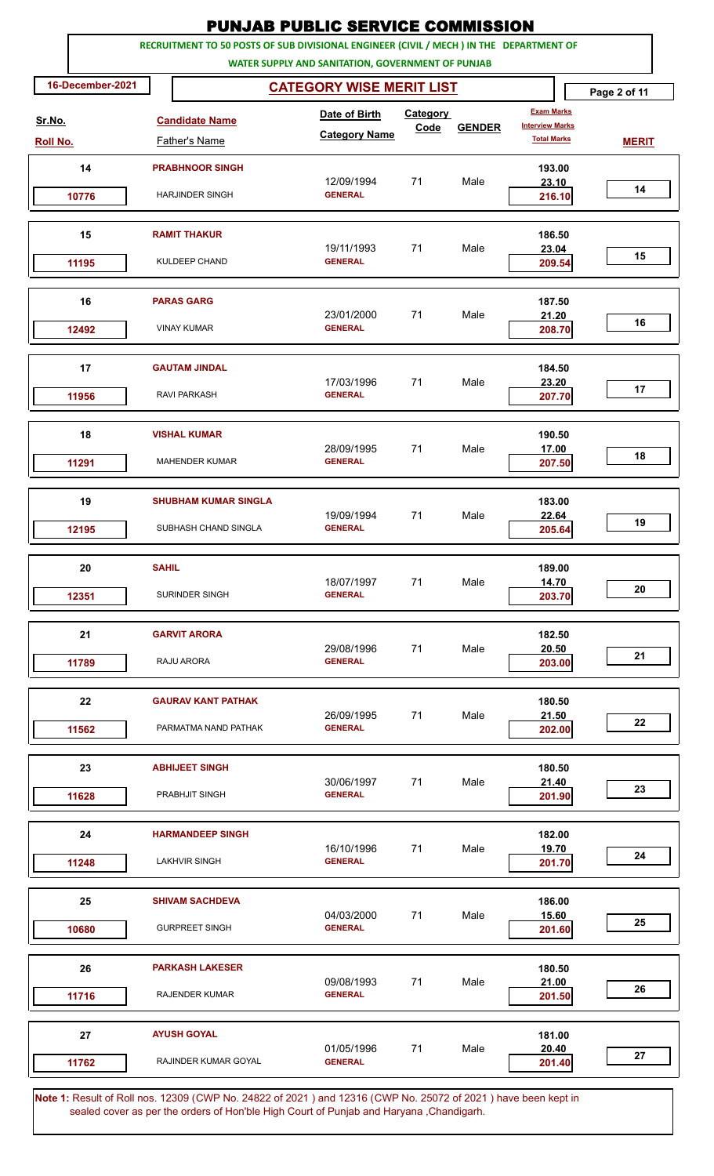|                    |                  |                                                                                         | <b>PUNJAB PUBLIC SERVICE COMMISSION</b>           |                                |               |                                                                   |                              |  |
|--------------------|------------------|-----------------------------------------------------------------------------------------|---------------------------------------------------|--------------------------------|---------------|-------------------------------------------------------------------|------------------------------|--|
|                    |                  | RECRUITMENT TO 50 POSTS OF SUB DIVISIONAL ENGINEER (CIVIL / MECH ) IN THE DEPARTMENT OF | WATER SUPPLY AND SANITATION, GOVERNMENT OF PUNJAB |                                |               |                                                                   |                              |  |
|                    | 16-December-2021 | <b>CATEGORY WISE MERIT LIST</b>                                                         |                                                   |                                |               |                                                                   |                              |  |
| Sr.No.<br>Roll No. |                  | <b>Candidate Name</b><br>Father's Name                                                  | Date of Birth<br><b>Category Name</b>             | <b>Category</b><br><b>Code</b> | <b>GENDER</b> | <b>Exam Marks</b><br><b>Interview Marks</b><br><b>Total Marks</b> | Page 2 of 11<br><b>MERIT</b> |  |
|                    | 14<br>10776      | <b>PRABHNOOR SINGH</b><br><b>HARJINDER SINGH</b>                                        | 12/09/1994<br><b>GENERAL</b>                      | 71                             | Male          | 193.00<br>23.10<br>216.10                                         | 14                           |  |
|                    | 15<br>11195      | <b>RAMIT THAKUR</b><br>KULDEEP CHAND                                                    | 19/11/1993<br><b>GENERAL</b>                      | 71                             | Male          | 186.50<br>23.04<br>209.54                                         | 15                           |  |
|                    | 16<br>12492      | <b>PARAS GARG</b><br><b>VINAY KUMAR</b>                                                 | 23/01/2000<br><b>GENERAL</b>                      | 71                             | Male          | 187.50<br>21.20<br>208.70                                         | 16                           |  |
|                    | 17<br>11956      | <b>GAUTAM JINDAL</b><br>RAVI PARKASH                                                    | 17/03/1996<br><b>GENERAL</b>                      | 71                             | Male          | 184.50<br>23.20<br>207.70                                         | 17                           |  |
|                    | 18<br>11291      | <b>VISHAL KUMAR</b><br><b>MAHENDER KUMAR</b>                                            | 28/09/1995<br><b>GENERAL</b>                      | 71                             | Male          | 190.50<br>17.00<br>207.50                                         | 18                           |  |
|                    | 19<br>12195      | <b>SHUBHAM KUMAR SINGLA</b><br>SUBHASH CHAND SINGLA                                     | 19/09/1994<br><b>GENERAL</b>                      | 71                             | Male          | 183.00<br>22.64<br>205.64                                         | 19                           |  |
|                    | 20<br>12351      | <b>SAHIL</b><br><b>SURINDER SINGH</b>                                                   | 18/07/1997<br><b>GENERAL</b>                      | 71                             | Male          | 189.00<br>14.70<br>203.70                                         | 20                           |  |
|                    | 21<br>11789      | <b>GARVIT ARORA</b><br>RAJU ARORA                                                       | 29/08/1996<br><b>GENERAL</b>                      | 71                             | Male          | 182.50<br>20.50<br>203.00                                         | 21                           |  |
|                    | 22<br>11562      | <b>GAURAV KANT PATHAK</b><br>PARMATMA NAND PATHAK                                       | 26/09/1995<br><b>GENERAL</b>                      | 71                             | Male          | 180.50<br>21.50<br>202.00                                         | 22                           |  |
|                    | 23<br>11628      | <b>ABHIJEET SINGH</b><br>PRABHJIT SINGH                                                 | 30/06/1997<br><b>GENERAL</b>                      | 71                             | Male          | 180.50<br>21.40<br>201.90                                         | 23                           |  |
|                    | 24<br>11248      | <b>HARMANDEEP SINGH</b><br><b>LAKHVIR SINGH</b>                                         | 16/10/1996<br><b>GENERAL</b>                      | 71                             | Male          | 182.00<br>19.70<br>201.70                                         | 24                           |  |
|                    | 25<br>10680      | <b>SHIVAM SACHDEVA</b><br><b>GURPREET SINGH</b>                                         | 04/03/2000<br><b>GENERAL</b>                      | 71                             | Male          | 186.00<br>15.60<br>201.60                                         | 25                           |  |
|                    | 26<br>11716      | <b>PARKASH LAKESER</b><br>RAJENDER KUMAR                                                | 09/08/1993<br><b>GENERAL</b>                      | 71                             | Male          | 180.50<br>21.00<br>201.50                                         | 26                           |  |
|                    | 27<br>11762      | <b>AYUSH GOYAL</b><br>RAJINDER KUMAR GOYAL                                              | 01/05/1996<br><b>GENERAL</b>                      | 71                             | Male          | 181.00<br>20.40<br>201.40                                         | 27                           |  |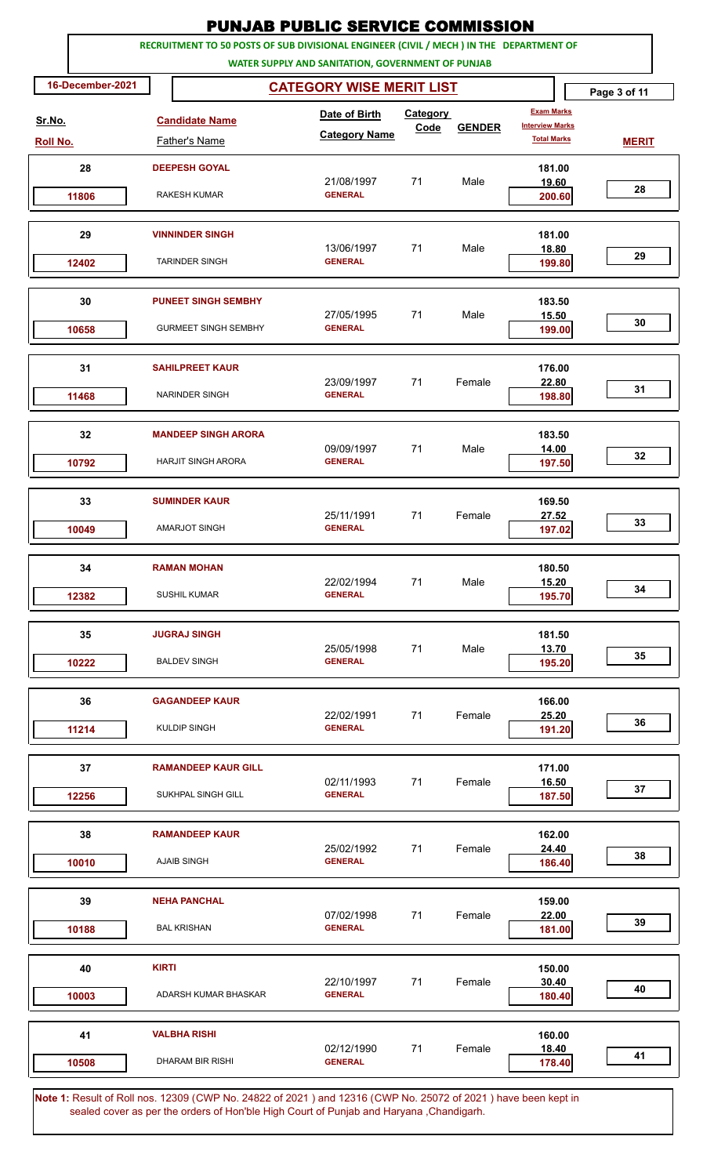|                           |              |                                        | <b>PUNJAB PUBLIC SERVICE COMMISSION</b><br>RECRUITMENT TO 50 POSTS OF SUB DIVISIONAL ENGINEER (CIVIL / MECH ) IN THE DEPARTMENT OF |                         |               |                                                                   |              |
|---------------------------|--------------|----------------------------------------|------------------------------------------------------------------------------------------------------------------------------------|-------------------------|---------------|-------------------------------------------------------------------|--------------|
|                           |              |                                        | WATER SUPPLY AND SANITATION, GOVERNMENT OF PUNJAB                                                                                  |                         |               |                                                                   |              |
| 16-December-2021          |              |                                        | <b>CATEGORY WISE MERIT LIST</b>                                                                                                    |                         |               |                                                                   | Page 3 of 11 |
| Sr.No.<br><b>Roll No.</b> |              | <b>Candidate Name</b><br>Father's Name | Date of Birth<br><b>Category Name</b>                                                                                              | <b>Category</b><br>Code | <b>GENDER</b> | <b>Exam Marks</b><br><b>Interview Marks</b><br><b>Total Marks</b> | <b>MERIT</b> |
| 28                        |              | <b>DEEPESH GOYAL</b>                   |                                                                                                                                    |                         |               | 181.00                                                            |              |
| 11806                     |              | RAKESH KUMAR                           | 21/08/1997<br><b>GENERAL</b>                                                                                                       | 71                      | Male          | 19.60<br>200.60                                                   | 28           |
| 29                        |              | <b>VINNINDER SINGH</b>                 | 13/06/1997                                                                                                                         | 71                      | Male          | 181.00<br>18.80                                                   |              |
| 12402                     |              | <b>TARINDER SINGH</b>                  | <b>GENERAL</b>                                                                                                                     |                         |               | 199.80                                                            | 29           |
| 30                        |              | <b>PUNEET SINGH SEMBHY</b>             |                                                                                                                                    |                         |               | 183.50                                                            |              |
| 10658                     |              | <b>GURMEET SINGH SEMBHY</b>            | 27/05/1995<br><b>GENERAL</b>                                                                                                       | 71                      | Male          | 15.50<br>199.00                                                   | 30           |
| 31                        |              | <b>SAHILPREET KAUR</b>                 | 23/09/1997                                                                                                                         | 71                      | Female        | 176.00<br>22.80                                                   |              |
| 11468                     |              | <b>NARINDER SINGH</b>                  | <b>GENERAL</b>                                                                                                                     |                         |               | 198.80                                                            | 31           |
| 32                        |              | <b>MANDEEP SINGH ARORA</b>             | 09/09/1997                                                                                                                         | 71                      | Male          | 183.50<br>14.00                                                   |              |
| 10792                     |              | <b>HARJIT SINGH ARORA</b>              | <b>GENERAL</b>                                                                                                                     |                         |               | 197.50                                                            | 32           |
| 33                        |              | <b>SUMINDER KAUR</b>                   | 25/11/1991                                                                                                                         | 71                      | Female        | 169.50<br>27.52                                                   |              |
| 10049                     |              | <b>AMARJOT SINGH</b>                   | <b>GENERAL</b>                                                                                                                     |                         |               | 197.02                                                            | 33           |
| 34                        |              | <b>RAMAN MOHAN</b>                     | 22/02/1994                                                                                                                         | 71                      | Male          | 180.50<br>15.20                                                   |              |
| 12382                     |              | <b>SUSHIL KUMAR</b>                    | <b>GENERAL</b>                                                                                                                     |                         |               | 195.70                                                            | 34           |
| 35                        |              | <b>JUGRAJ SINGH</b>                    | 25/05/1998                                                                                                                         | 71                      | Male          | 181.50<br>13.70                                                   |              |
| 10222                     |              | <b>BALDEV SINGH</b>                    | <b>GENERAL</b>                                                                                                                     |                         |               | 195.20                                                            | 35           |
| 36                        |              | <b>GAGANDEEP KAUR</b>                  | 22/02/1991                                                                                                                         | 71                      | Female        | 166.00<br>25.20                                                   |              |
| 11214                     |              | <b>KULDIP SINGH</b>                    | <b>GENERAL</b>                                                                                                                     |                         |               | 191.20                                                            | 36           |
| 37                        |              | <b>RAMANDEEP KAUR GILL</b>             | 02/11/1993                                                                                                                         | 71                      | Female        | 171.00<br>16.50                                                   |              |
| 12256                     |              | SUKHPAL SINGH GILL                     | <b>GENERAL</b>                                                                                                                     |                         |               | 187.50                                                            | 37           |
| 38                        |              | <b>RAMANDEEP KAUR</b>                  | 25/02/1992                                                                                                                         | 71                      | Female        | 162.00<br>24.40                                                   |              |
| 10010                     |              | <b>AJAIB SINGH</b>                     | <b>GENERAL</b>                                                                                                                     |                         |               | 186.40                                                            | 38           |
| 39                        |              | <b>NEHA PANCHAL</b>                    |                                                                                                                                    | 71                      | Female        | 159.00                                                            |              |
| 10188                     |              | <b>BAL KRISHAN</b>                     | 07/02/1998<br><b>GENERAL</b>                                                                                                       |                         |               | 22.00<br>181.00                                                   | 39           |
| 40                        | <b>KIRTI</b> |                                        |                                                                                                                                    |                         |               | 150.00                                                            |              |
| 10003                     |              | ADARSH KUMAR BHASKAR                   | 22/10/1997<br><b>GENERAL</b>                                                                                                       | 71                      | Female        | 30.40<br>180.40                                                   | 40           |
| 41                        |              | <b>VALBHA RISHI</b>                    |                                                                                                                                    |                         |               | 160.00                                                            |              |
| 10508                     |              | DHARAM BIR RISHI                       | 02/12/1990<br><b>GENERAL</b>                                                                                                       | 71                      | Female        | 18.40<br>178.40                                                   | 41           |
|                           |              |                                        | Note 1: Result of Roll nos. 12309 (CWP No. 24822 of 2021) and 12316 (CWP No. 25072 of 2021) have been kept in                      |                         |               |                                                                   |              |

sealed cover as per the orders of Hon'ble High Court of Punjab and Haryana ,Chandigarh.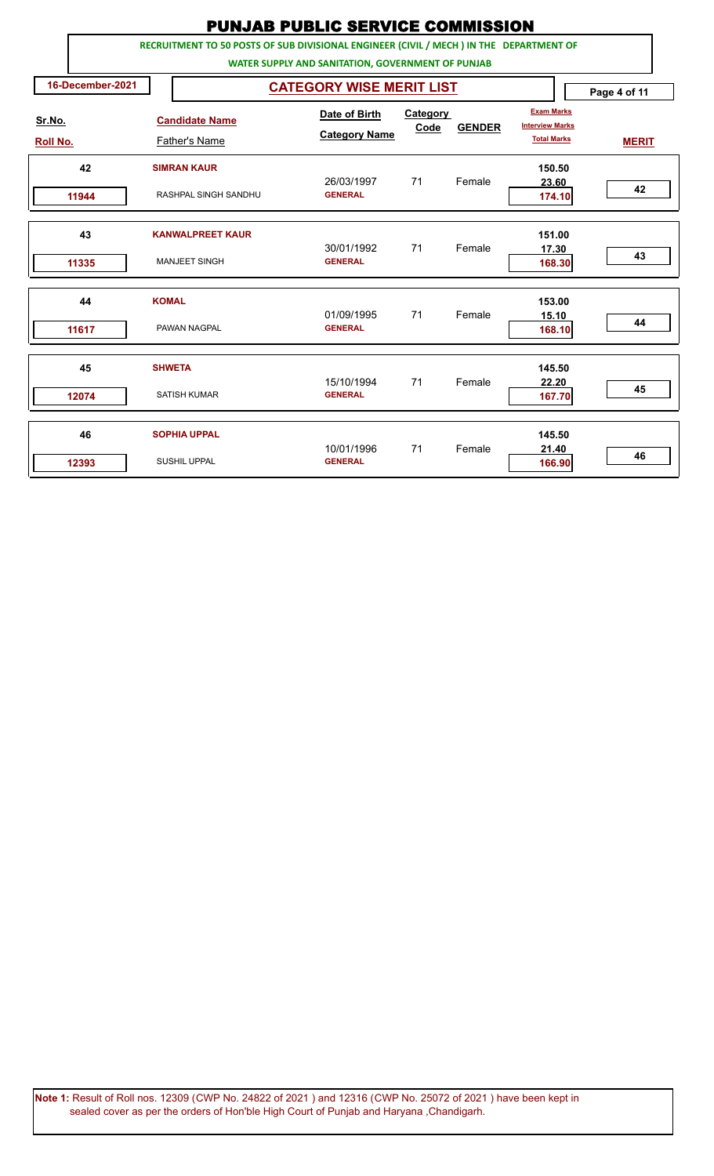|                 | <b>PUNJAB PUBLIC SERVICE COMMISSION</b>                                                 |              |                         |  |                                       |                  |               |                                             |  |              |  |
|-----------------|-----------------------------------------------------------------------------------------|--------------|-------------------------|--|---------------------------------------|------------------|---------------|---------------------------------------------|--|--------------|--|
|                 | RECRUITMENT TO 50 POSTS OF SUB DIVISIONAL ENGINEER (CIVIL / MECH ) IN THE DEPARTMENT OF |              |                         |  |                                       |                  |               |                                             |  |              |  |
|                 | WATER SUPPLY AND SANITATION, GOVERNMENT OF PUNJAB                                       |              |                         |  |                                       |                  |               |                                             |  |              |  |
|                 | 16-December-2021<br><b>CATEGORY WISE MERIT LIST</b><br>Page 4 of 11                     |              |                         |  |                                       |                  |               |                                             |  |              |  |
| Sr.No.          |                                                                                         |              | <b>Candidate Name</b>   |  | Date of Birth<br><b>Category Name</b> | Category<br>Code | <b>GENDER</b> | <b>Exam Marks</b><br><b>Interview Marks</b> |  |              |  |
| <b>Roll No.</b> |                                                                                         |              | <b>Father's Name</b>    |  |                                       |                  |               | <b>Total Marks</b>                          |  | <b>MERIT</b> |  |
|                 | 42                                                                                      |              | <b>SIMRAN KAUR</b>      |  | 26/03/1997                            | 71               | Female        | 150.50<br>23.60                             |  |              |  |
|                 | 11944                                                                                   |              | RASHPAL SINGH SANDHU    |  | <b>GENERAL</b>                        |                  |               | 174.10                                      |  | 42           |  |
|                 | 43                                                                                      |              | <b>KANWALPREET KAUR</b> |  |                                       |                  |               | 151.00                                      |  |              |  |
|                 | 11335                                                                                   |              | <b>MANJEET SINGH</b>    |  | 30/01/1992<br><b>GENERAL</b>          | 71               | Female        | 17.30<br>168.30                             |  | 43           |  |
|                 | 44                                                                                      | <b>KOMAL</b> |                         |  | 01/09/1995                            | 71               | Female        | 153.00<br>15.10                             |  |              |  |
|                 | 11617                                                                                   |              | PAWAN NAGPAL            |  | <b>GENERAL</b>                        |                  |               | 168.10                                      |  | 44           |  |
|                 | 45                                                                                      |              | <b>SHWETA</b>           |  |                                       |                  |               | 145.50                                      |  |              |  |
|                 | 12074                                                                                   |              | <b>SATISH KUMAR</b>     |  | 15/10/1994<br><b>GENERAL</b>          | 71               | Female        | 22.20<br>167.70                             |  | 45           |  |
|                 |                                                                                         |              |                         |  |                                       |                  |               |                                             |  |              |  |
|                 | 46                                                                                      |              | <b>SOPHIA UPPAL</b>     |  | 10/01/1996                            | 71               | Female        | 145.50<br>21.40                             |  |              |  |
|                 | 12393                                                                                   |              | <b>SUSHIL UPPAL</b>     |  | <b>GENERAL</b>                        |                  |               | 166.90                                      |  | 46           |  |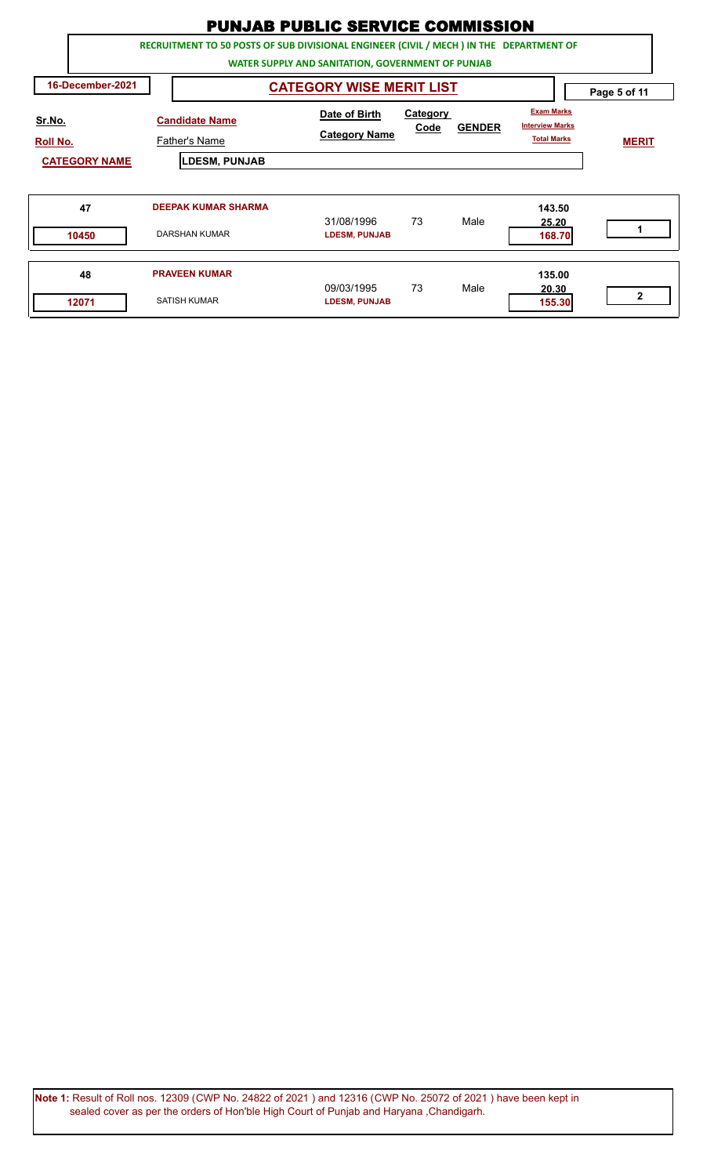|                      |                                                                                         |                                                    | <b>PUNJAB PUBLIC SERVICE COMMISSION</b> |                                |               |                                                                   |              |  |  |
|----------------------|-----------------------------------------------------------------------------------------|----------------------------------------------------|-----------------------------------------|--------------------------------|---------------|-------------------------------------------------------------------|--------------|--|--|
|                      | RECRUITMENT TO 50 POSTS OF SUB DIVISIONAL ENGINEER (CIVIL / MECH ) IN THE DEPARTMENT OF |                                                    |                                         |                                |               |                                                                   |              |  |  |
|                      | WATER SUPPLY AND SANITATION, GOVERNMENT OF PUNJAB                                       |                                                    |                                         |                                |               |                                                                   |              |  |  |
|                      | 16-December-2021                                                                        |                                                    | <b>CATEGORY WISE MERIT LIST</b>         |                                |               |                                                                   | Page 5 of 11 |  |  |
| Sr.No.<br>Roll No.   |                                                                                         | <b>Candidate Name</b><br><b>Father's Name</b>      | Date of Birth<br><b>Category Name</b>   | <b>Category</b><br><b>Code</b> | <b>GENDER</b> | <b>Exam Marks</b><br><b>Interview Marks</b><br><b>Total Marks</b> | <b>MERIT</b> |  |  |
| <b>CATEGORY NAME</b> |                                                                                         | LDESM, PUNJAB                                      |                                         |                                |               |                                                                   |              |  |  |
| 47<br>10450          |                                                                                         | <b>DEEPAK KUMAR SHARMA</b><br><b>DARSHAN KUMAR</b> | 31/08/1996<br><b>LDESM, PUNJAB</b>      | 73                             | Male          | 143.50<br>25.20<br>168.70                                         | 1            |  |  |
| 48<br>12071          |                                                                                         | <b>PRAVEEN KUMAR</b><br><b>SATISH KUMAR</b>        | 09/03/1995<br><b>LDESM, PUNJAB</b>      | 73                             | Male          | 135.00<br>20.30<br>155.30                                         | $\mathbf{2}$ |  |  |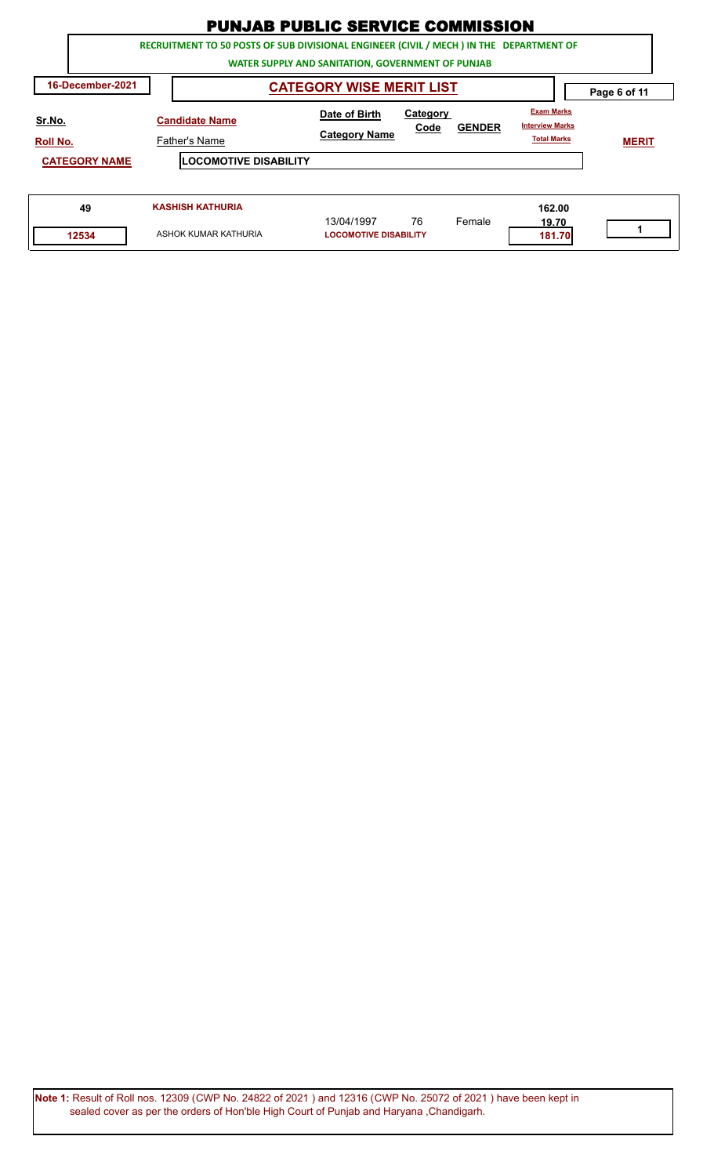|                                                                                         | <b>PUNJAB PUBLIC SERVICE COMMISSION</b>           |                                                                                                                                                        |              |  |  |  |  |  |  |
|-----------------------------------------------------------------------------------------|---------------------------------------------------|--------------------------------------------------------------------------------------------------------------------------------------------------------|--------------|--|--|--|--|--|--|
| RECRUITMENT TO 50 POSTS OF SUB DIVISIONAL ENGINEER (CIVIL / MECH ) IN THE DEPARTMENT OF |                                                   |                                                                                                                                                        |              |  |  |  |  |  |  |
|                                                                                         | WATER SUPPLY AND SANITATION, GOVERNMENT OF PUNJAB |                                                                                                                                                        |              |  |  |  |  |  |  |
| 16-December-2021                                                                        |                                                   | <b>CATEGORY WISE MERIT LIST</b>                                                                                                                        | Page 6 of 11 |  |  |  |  |  |  |
| Sr.No.<br><b>Roll No.</b>                                                               | <b>Candidate Name</b><br><b>Father's Name</b>     | <b>Exam Marks</b><br>Category<br>Date of Birth<br><b>Interview Marks</b><br><b>GENDER</b><br><b>Code</b><br><b>Category Name</b><br><b>Total Marks</b> | <b>MERIT</b> |  |  |  |  |  |  |
| <b>CATEGORY NAME</b>                                                                    | <b>LOCOMOTIVE DISABILITY</b>                      |                                                                                                                                                        |              |  |  |  |  |  |  |
| 49                                                                                      | <b>KASHISH KATHURIA</b>                           | 162.00<br>76<br>Female<br>13/04/1997<br>19.70                                                                                                          |              |  |  |  |  |  |  |
| 12534                                                                                   | ASHOK KUMAR KATHURIA                              | <b>LOCOMOTIVE DISABILITY</b><br>181.70                                                                                                                 |              |  |  |  |  |  |  |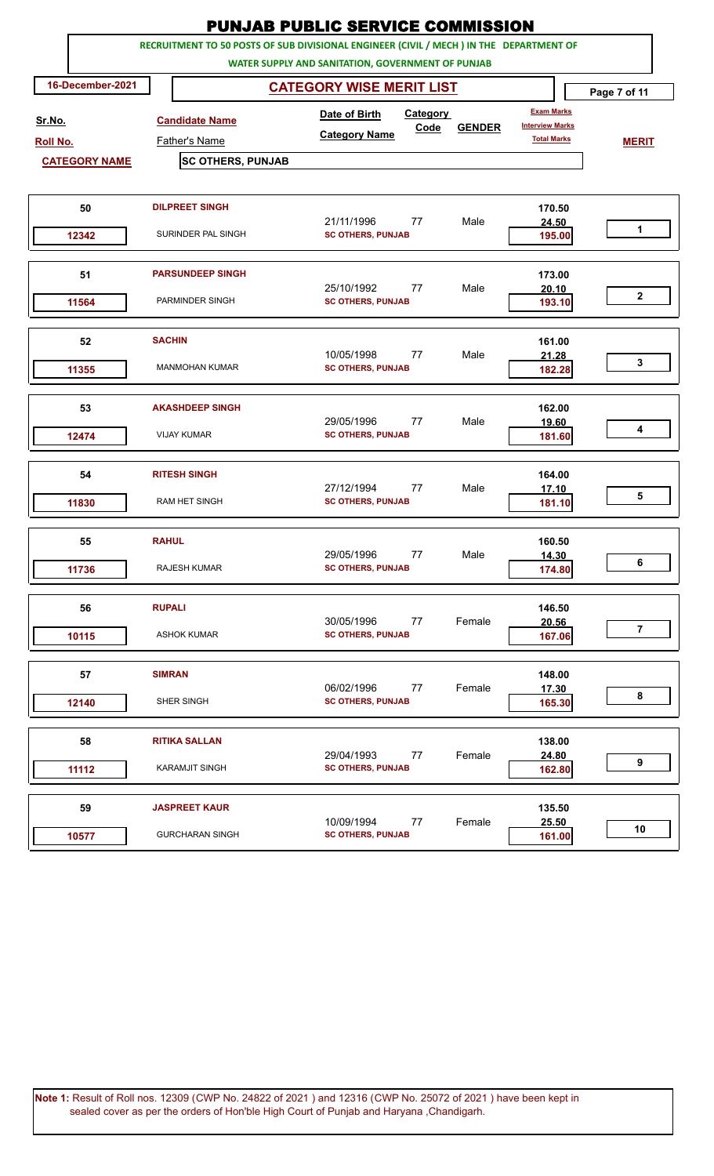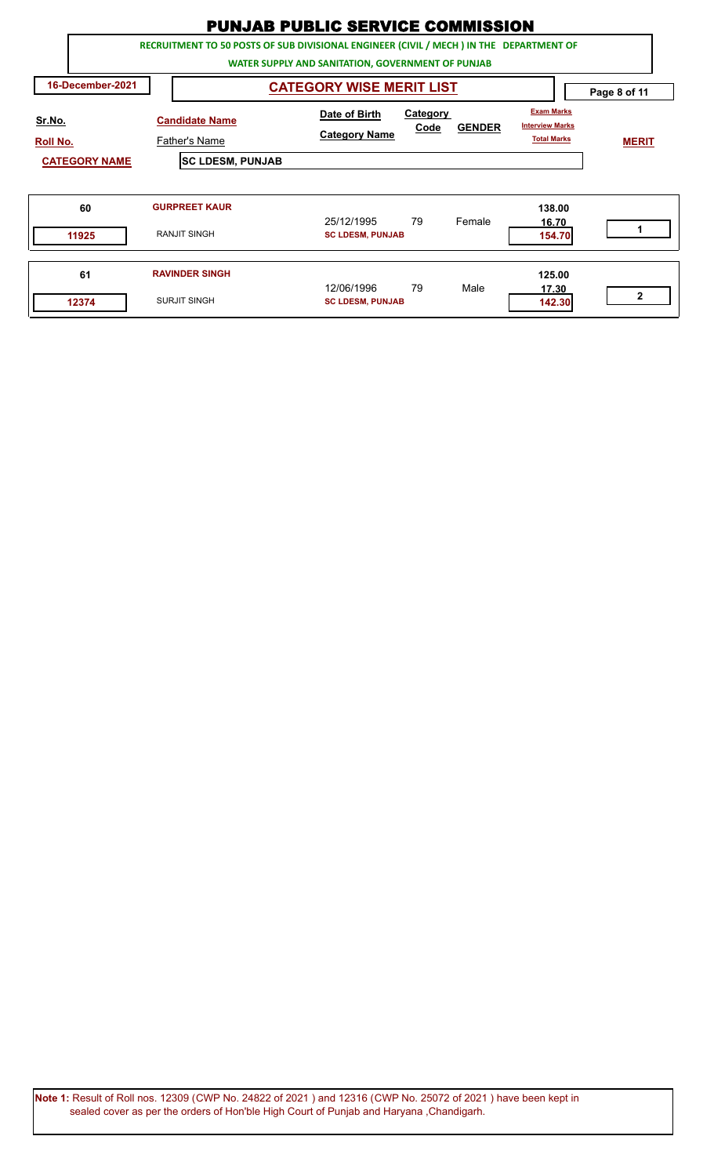|                      |                                                                                         | <b>PUNJAB PUBLIC SERVICE COMMISSION</b>           |                  |               |                                                                   |              |
|----------------------|-----------------------------------------------------------------------------------------|---------------------------------------------------|------------------|---------------|-------------------------------------------------------------------|--------------|
|                      | RECRUITMENT TO 50 POSTS OF SUB DIVISIONAL ENGINEER (CIVIL / MECH ) IN THE DEPARTMENT OF |                                                   |                  |               |                                                                   |              |
|                      |                                                                                         | WATER SUPPLY AND SANITATION, GOVERNMENT OF PUNJAB |                  |               |                                                                   |              |
| 16-December-2021     |                                                                                         | <b>CATEGORY WISE MERIT LIST</b>                   |                  |               |                                                                   | Page 8 of 11 |
| Sr.No.<br>Roll No.   | <b>Candidate Name</b><br><b>Father's Name</b>                                           | Date of Birth<br><b>Category Name</b>             | Category<br>Code | <b>GENDER</b> | <b>Exam Marks</b><br><b>Interview Marks</b><br><b>Total Marks</b> | <b>MERIT</b> |
| <b>CATEGORY NAME</b> | <b>SC LDESM, PUNJAB</b>                                                                 |                                                   |                  |               |                                                                   |              |
| 60                   | <b>GURPREET KAUR</b>                                                                    | 25/12/1995                                        | 79               | Female        | 138.00<br>16.70                                                   | 1            |
| 11925                | <b>RANJIT SINGH</b>                                                                     | <b>SC LDESM, PUNJAB</b>                           |                  |               | 154.70                                                            |              |
| 61                   | <b>RAVINDER SINGH</b>                                                                   | 12/06/1996                                        | 79               | Male          | 125.00<br>17.30                                                   |              |
| 12374                | <b>SURJIT SINGH</b>                                                                     | <b>SC LDESM, PUNJAB</b>                           |                  |               | 142.30                                                            | 2            |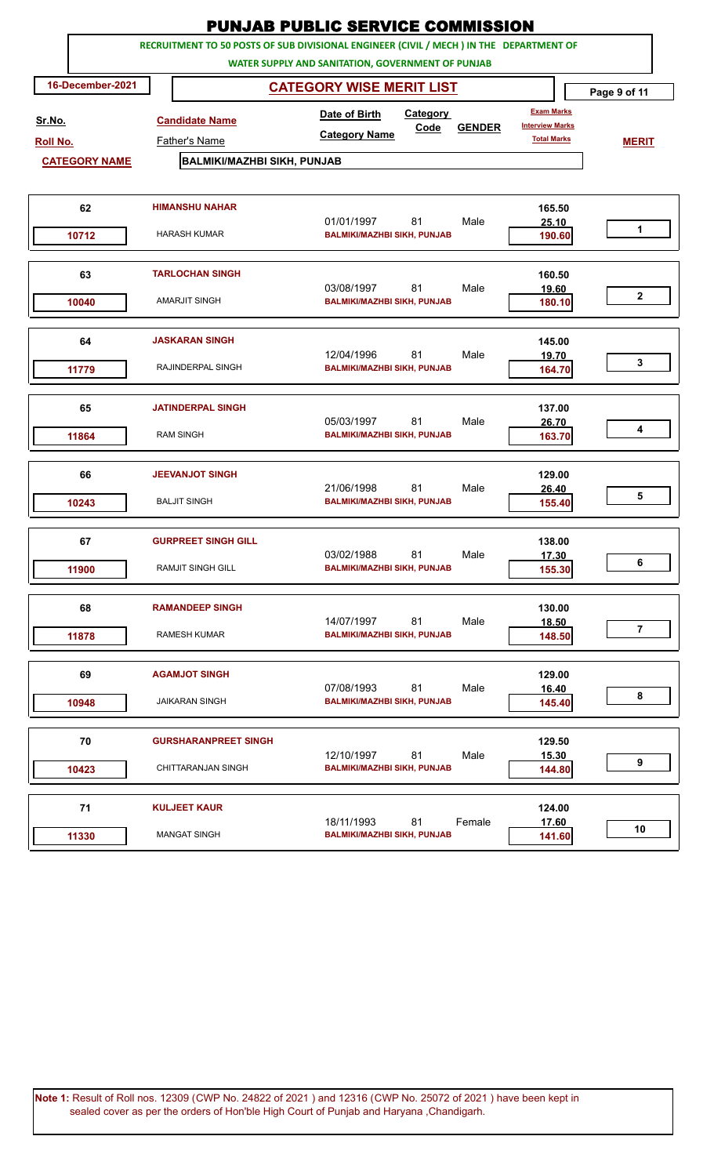|                 |                      |                                               | <b>PUNJAB PUBLIC SERVICE COMMISSION</b>                                                              |                                         |
|-----------------|----------------------|-----------------------------------------------|------------------------------------------------------------------------------------------------------|-----------------------------------------|
|                 |                      |                                               | RECRUITMENT TO 50 POSTS OF SUB DIVISIONAL ENGINEER (CIVIL / MECH ) IN THE DEPARTMENT OF              |                                         |
|                 |                      |                                               | WATER SUPPLY AND SANITATION, GOVERNMENT OF PUNJAB                                                    |                                         |
|                 | 16-December-2021     |                                               | <b>CATEGORY WISE MERIT LIST</b>                                                                      | Page 9 of 11                            |
| Sr.No.          |                      | <b>Candidate Name</b><br><b>Father's Name</b> | Category<br>Date of Birth<br><b>Interview Marks</b><br>Code<br><b>GENDER</b><br><b>Category Name</b> | <b>Exam Marks</b><br><b>Total Marks</b> |
| <b>Roll No.</b> | <b>CATEGORY NAME</b> | <b>BALMIKI/MAZHBI SIKH, PUNJAB</b>            |                                                                                                      | <b>MERIT</b>                            |
|                 |                      |                                               |                                                                                                      |                                         |
|                 | 62                   | <b>HIMANSHU NAHAR</b>                         |                                                                                                      | 165.50                                  |
|                 | 10712                | <b>HARASH KUMAR</b>                           | 81<br>Male<br>01/01/1997<br><b>BALMIKI/MAZHBI SIKH, PUNJAB</b>                                       | 25.10<br>1<br>190.60                    |
|                 | 63                   | <b>TARLOCHAN SINGH</b>                        | Male                                                                                                 | 160.50                                  |
|                 | 10040                | <b>AMARJIT SINGH</b>                          | 03/08/1997<br>81<br><b>BALMIKI/MAZHBI SIKH, PUNJAB</b>                                               | 19.60<br>2<br>180.10                    |
|                 | 64                   | <b>JASKARAN SINGH</b>                         | 12/04/1996<br>81<br>Male                                                                             | 145.00<br>19.70                         |
|                 | 11779                | RAJINDERPAL SINGH                             | <b>BALMIKI/MAZHBI SIKH, PUNJAB</b>                                                                   | 3<br>164.70                             |
|                 | 65                   | <b>JATINDERPAL SINGH</b>                      | 81<br>Male<br>05/03/1997                                                                             | 137.00<br>26.70                         |
|                 | 11864                | <b>RAM SINGH</b>                              | <b>BALMIKI/MAZHBI SIKH, PUNJAB</b>                                                                   | 4<br>163.70                             |
|                 | 66                   | <b>JEEVANJOT SINGH</b>                        | 21/06/1998<br>81<br>Male                                                                             | 129.00<br>26.40                         |
|                 | 10243                | <b>BALJIT SINGH</b>                           | <b>BALMIKI/MAZHBI SIKH, PUNJAB</b>                                                                   | 5<br>155.40                             |
|                 | 67                   | <b>GURPREET SINGH GILL</b>                    | 03/02/1988<br>81<br>Male                                                                             | 138.00<br>17.30                         |
|                 | 11900                | <b>RAMJIT SINGH GILL</b>                      | <b>BALMIKI/MAZHBI SIKH, PUNJAB</b>                                                                   | 6<br>155.30                             |
|                 | 68                   | <b>RAMANDEEP SINGH</b>                        | 14/07/1997<br>81<br>Male                                                                             | 130.00<br>18.50                         |
|                 | 11878                | <b>RAMESH KUMAR</b>                           | <b>BALMIKI/MAZHBI SIKH, PUNJAB</b>                                                                   | $\overline{7}$<br>148.50                |
|                 | 69                   | <b>AGAMJOT SINGH</b>                          | 07/08/1993<br>81<br>Male                                                                             | 129.00<br>16.40                         |
|                 | 10948                | <b>JAIKARAN SINGH</b>                         | <b>BALMIKI/MAZHBI SIKH, PUNJAB</b>                                                                   | 8<br>145.40                             |
|                 | 70                   | <b>GURSHARANPREET SINGH</b>                   | 12/10/1997<br>81<br>Male                                                                             | 129.50<br>15.30                         |
|                 | 10423                | CHITTARANJAN SINGH                            | <b>BALMIKI/MAZHBI SIKH, PUNJAB</b>                                                                   | 9<br>144.80                             |
|                 | 71                   | <b>KULJEET KAUR</b>                           | 18/11/1993<br>81<br>Female                                                                           | 124.00                                  |
|                 | 11330                | <b>MANGAT SINGH</b>                           | <b>BALMIKI/MAZHBI SIKH, PUNJAB</b>                                                                   | 17.60<br>10<br>141.60                   |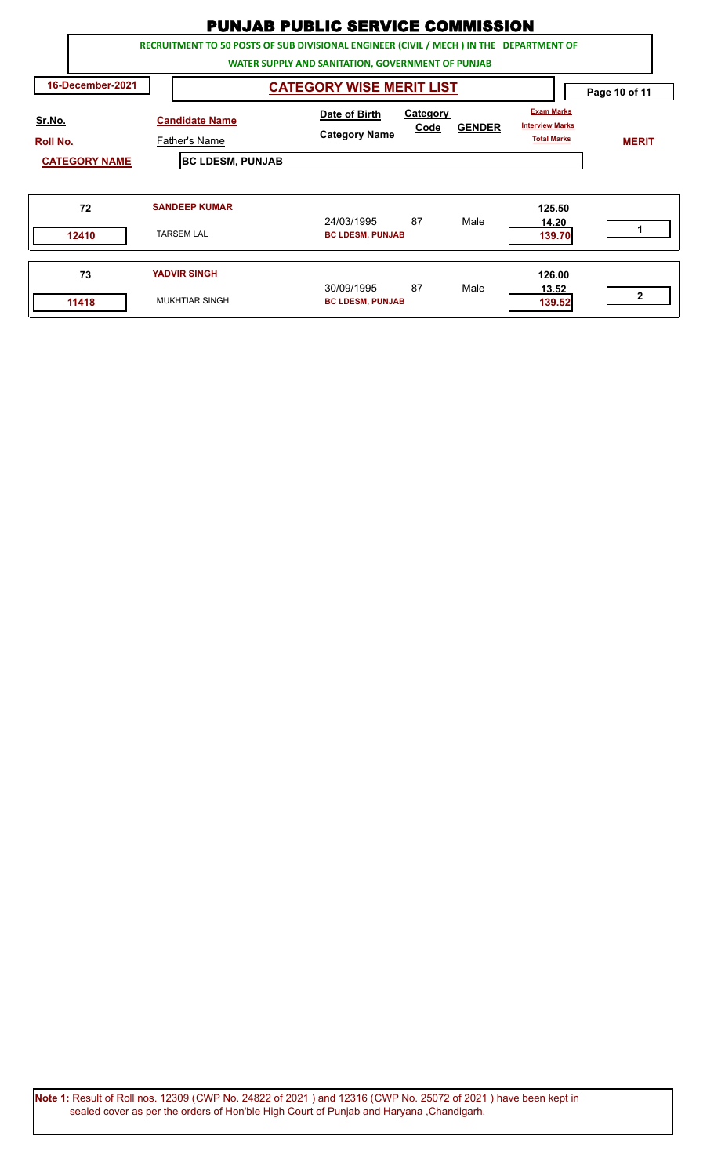|                           |                                                                                         | <b>PUNJAB PUBLIC SERVICE COMMISSION</b>           |                         |               |                                                                   |               |
|---------------------------|-----------------------------------------------------------------------------------------|---------------------------------------------------|-------------------------|---------------|-------------------------------------------------------------------|---------------|
|                           | RECRUITMENT TO 50 POSTS OF SUB DIVISIONAL ENGINEER (CIVIL / MECH ) IN THE DEPARTMENT OF |                                                   |                         |               |                                                                   |               |
|                           |                                                                                         | WATER SUPPLY AND SANITATION, GOVERNMENT OF PUNJAB |                         |               |                                                                   |               |
| 16-December-2021          |                                                                                         | <b>CATEGORY WISE MERIT LIST</b>                   |                         |               |                                                                   | Page 10 of 11 |
| <u>Sr.No.</u><br>Roll No. | <b>Candidate Name</b><br><b>Father's Name</b>                                           | Date of Birth<br><b>Category Name</b>             | <b>Category</b><br>Code | <b>GENDER</b> | <b>Exam Marks</b><br><b>Interview Marks</b><br><b>Total Marks</b> | <b>MERIT</b>  |
| <b>CATEGORY NAME</b>      | <b>BC LDESM, PUNJAB</b>                                                                 |                                                   |                         |               |                                                                   |               |
| 72                        | <b>SANDEEP KUMAR</b>                                                                    | 24/03/1995                                        | 87                      | Male          | 125.50<br>14.20                                                   | 1             |
| 12410                     | <b>TARSEM LAL</b>                                                                       | <b>BC LDESM, PUNJAB</b>                           |                         |               | 139.70                                                            |               |
| 73                        | <b>YADVIR SINGH</b>                                                                     | 30/09/1995                                        | 87                      | Male          | 126.00<br>13.52                                                   |               |
| 11418                     | <b>MUKHTIAR SINGH</b>                                                                   | <b>BC LDESM, PUNJAB</b>                           |                         |               | 139.52                                                            | $\mathbf{2}$  |